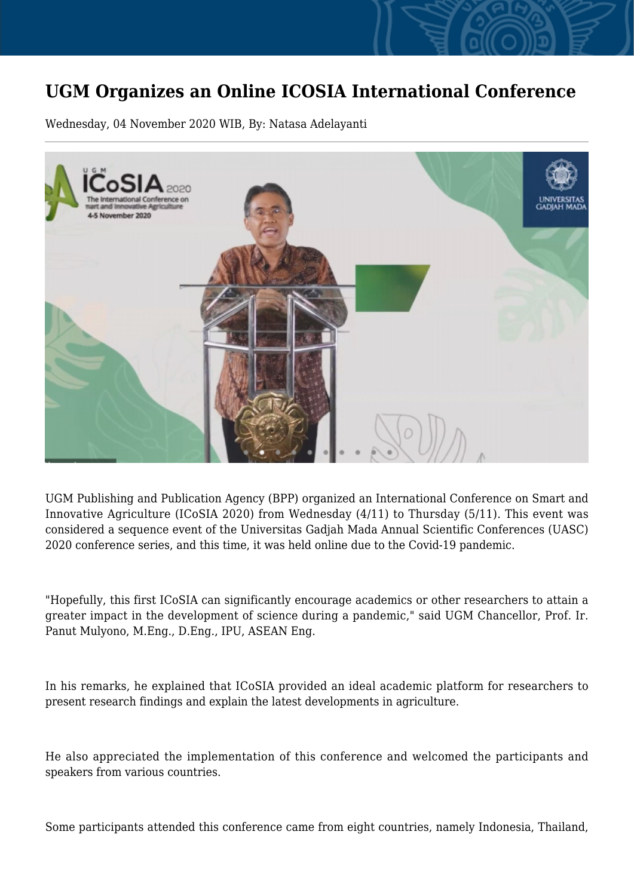## **UGM Organizes an Online ICOSIA International Conference**

Wednesday, 04 November 2020 WIB, By: Natasa Adelayanti



UGM Publishing and Publication Agency (BPP) organized an International Conference on Smart and Innovative Agriculture (ICoSIA 2020) from Wednesday (4/11) to Thursday (5/11). This event was considered a sequence event of the Universitas Gadjah Mada Annual Scientific Conferences (UASC) 2020 conference series, and this time, it was held online due to the Covid-19 pandemic.

"Hopefully, this first ICoSIA can significantly encourage academics or other researchers to attain a greater impact in the development of science during a pandemic," said UGM Chancellor, Prof. Ir. Panut Mulyono, M.Eng., D.Eng., IPU, ASEAN Eng.

In his remarks, he explained that ICoSIA provided an ideal academic platform for researchers to present research findings and explain the latest developments in agriculture.

He also appreciated the implementation of this conference and welcomed the participants and speakers from various countries.

Some participants attended this conference came from eight countries, namely Indonesia, Thailand,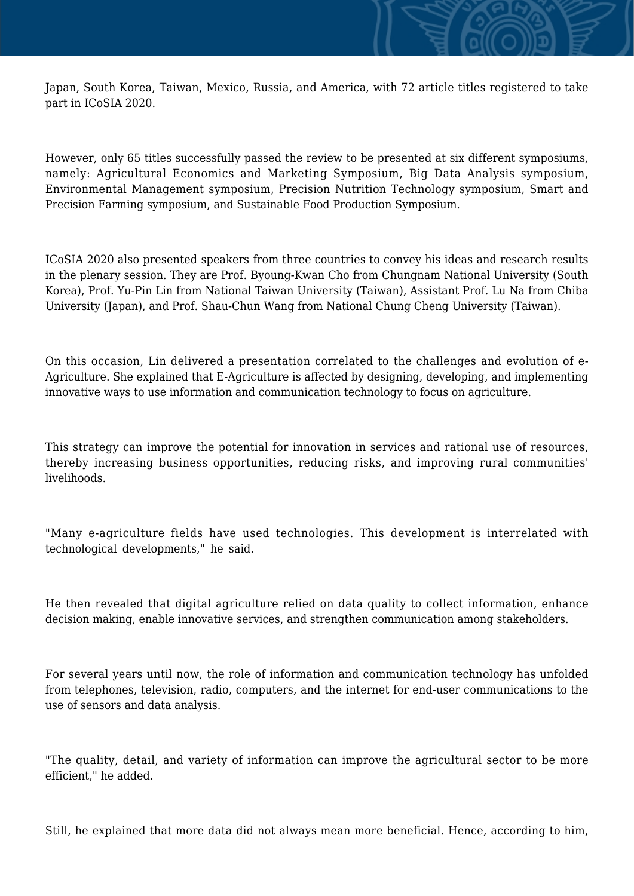Japan, South Korea, Taiwan, Mexico, Russia, and America, with 72 article titles registered to take part in ICoSIA 2020.

However, only 65 titles successfully passed the review to be presented at six different symposiums, namely: Agricultural Economics and Marketing Symposium, Big Data Analysis symposium, Environmental Management symposium, Precision Nutrition Technology symposium, Smart and Precision Farming symposium, and Sustainable Food Production Symposium.

ICoSIA 2020 also presented speakers from three countries to convey his ideas and research results in the plenary session. They are Prof. Byoung-Kwan Cho from Chungnam National University (South Korea), Prof. Yu-Pin Lin from National Taiwan University (Taiwan), Assistant Prof. Lu Na from Chiba University (Japan), and Prof. Shau-Chun Wang from National Chung Cheng University (Taiwan).

On this occasion, Lin delivered a presentation correlated to the challenges and evolution of e-Agriculture. She explained that E-Agriculture is affected by designing, developing, and implementing innovative ways to use information and communication technology to focus on agriculture.

This strategy can improve the potential for innovation in services and rational use of resources, thereby increasing business opportunities, reducing risks, and improving rural communities' livelihoods.

"Many e-agriculture fields have used technologies. This development is interrelated with technological developments," he said.

He then revealed that digital agriculture relied on data quality to collect information, enhance decision making, enable innovative services, and strengthen communication among stakeholders.

For several years until now, the role of information and communication technology has unfolded from telephones, television, radio, computers, and the internet for end-user communications to the use of sensors and data analysis.

"The quality, detail, and variety of information can improve the agricultural sector to be more efficient," he added.

Still, he explained that more data did not always mean more beneficial. Hence, according to him,